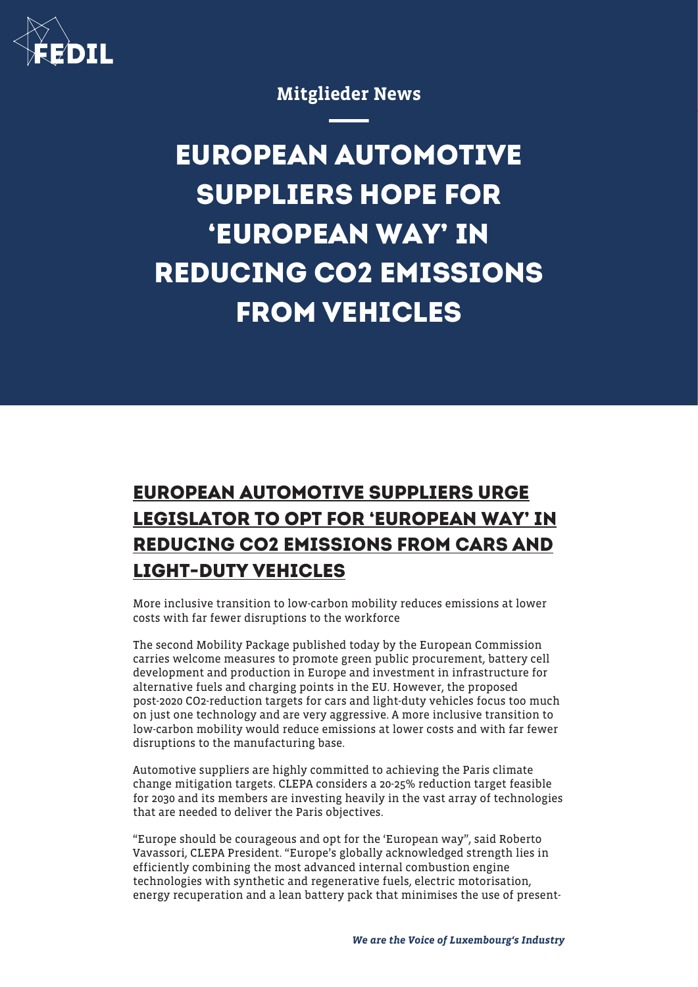

Mitglieder News

## **EUROPEAN AUTOMOTIVE SUPPLIERS HOPE FOR 'EUROPEAN WAY' IN REDUCING CO2 EMISSIONS FROM VEHICLES**

## **EUROPEAN AUTOMOTIVE SUPPLIERS URGE LEGISLATOR TO OPT FOR 'EUROPEAN WAY' IN REDUCING CO2 EMISSIONS FROM CARS AND LIGHT-DUTY VEHICLES**

More inclusive transition to low-carbon mobility reduces emissions at lower costs with far fewer disruptions to the workforce

The second Mobility Package published today by the European Commission carries welcome measures to promote green public procurement, battery cell development and production in Europe and investment in infrastructure for alternative fuels and charging points in the EU. However, the proposed post-2020 CO2-reduction targets for cars and light-duty vehicles focus too much on just one technology and are very aggressive. A more inclusive transition to low-carbon mobility would reduce emissions at lower costs and with far fewer disruptions to the manufacturing base.

Automotive suppliers are highly committed to achieving the Paris climate change mitigation targets. CLEPA considers a 20-25% reduction target feasible for 2030 and its members are investing heavily in the vast array of technologies that are needed to deliver the Paris objectives.

"Europe should be courageous and opt for the 'European way", said Roberto Vavassori, CLEPA President. "Europe's globally acknowledged strength lies in efficiently combining the most advanced internal combustion engine technologies with synthetic and regenerative fuels, electric motorisation, energy recuperation and a lean battery pack that minimises the use of present-